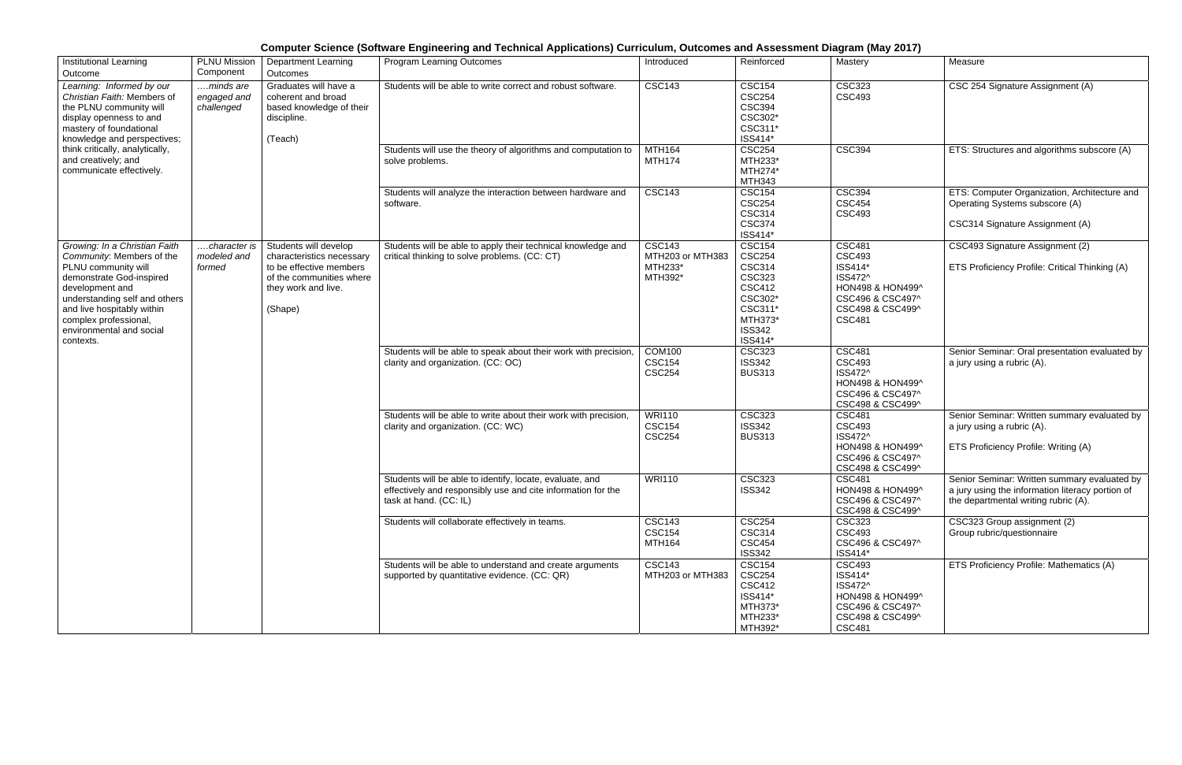## **Computer Science (Software Engineering and Technical Applications) Curriculum, Outcomes and Assessment Diagram (May 2017)**

| <b>Institutional Learning</b><br>Outcome                                                                                                                                                                                                                          | <b>PLNU Mission</b><br>Component       | Department Learning<br>Outcomes                                                                                                             | <b>Program Learning Outcomes</b>                                                                                                                   | Introduced                                              | Reinforced                                                                                                                                     | Mastery                                                                                                                           | Measure                                                                                                                                  |
|-------------------------------------------------------------------------------------------------------------------------------------------------------------------------------------------------------------------------------------------------------------------|----------------------------------------|---------------------------------------------------------------------------------------------------------------------------------------------|----------------------------------------------------------------------------------------------------------------------------------------------------|---------------------------------------------------------|------------------------------------------------------------------------------------------------------------------------------------------------|-----------------------------------------------------------------------------------------------------------------------------------|------------------------------------------------------------------------------------------------------------------------------------------|
| Learning: Informed by our<br>Christian Faith: Members of<br>the PLNU community will<br>display openness to and<br>mastery of foundational<br>knowledge and perspectives;<br>think critically, analytically,<br>and creatively; and<br>communicate effectively.    | minds are<br>engaged and<br>challenged | Graduates will have a<br>coherent and broad<br>based knowledge of their<br>discipline.<br>(Teach)                                           | Students will be able to write correct and robust software.                                                                                        | <b>CSC143</b>                                           | <b>CSC154</b><br><b>CSC254</b><br><b>CSC394</b><br>CSC302*<br>CSC311*<br>ISS414*                                                               | <b>CSC323</b><br><b>CSC493</b>                                                                                                    | CSC 254 Signature Assignment (A)                                                                                                         |
|                                                                                                                                                                                                                                                                   |                                        |                                                                                                                                             | Students will use the theory of algorithms and computation to<br>solve problems.                                                                   | <b>MTH164</b><br><b>MTH174</b>                          | <b>CSC254</b><br>MTH233*<br>MTH274*<br><b>MTH343</b>                                                                                           | <b>CSC394</b>                                                                                                                     | ETS: Structures and algorithms subscore (A)                                                                                              |
|                                                                                                                                                                                                                                                                   |                                        |                                                                                                                                             | Students will analyze the interaction between hardware and<br>software.                                                                            | <b>CSC143</b>                                           | <b>CSC154</b><br><b>CSC254</b><br><b>CSC314</b><br><b>CSC374</b><br>ISS414*                                                                    | <b>CSC394</b><br><b>CSC454</b><br><b>CSC493</b>                                                                                   | ETS: Computer Organization, Architecture and<br>Operating Systems subscore (A)<br>CSC314 Signature Assignment (A)                        |
| Growing: In a Christian Faith<br>Community: Members of the<br>PLNU community will<br>demonstrate God-inspired<br>development and<br>understanding self and others<br>and live hospitably within<br>complex professional,<br>environmental and social<br>contexts. | character is<br>modeled and<br>formed  | Students will develop<br>characteristics necessary<br>to be effective members<br>of the communities where<br>they work and live.<br>(Shape) | Students will be able to apply their technical knowledge and<br>critical thinking to solve problems. (CC: CT)                                      | <b>CSC143</b><br>MTH203 or MTH383<br>MTH233*<br>MTH392* | <b>CSC154</b><br><b>CSC254</b><br><b>CSC314</b><br><b>CSC323</b><br><b>CSC412</b><br>CSC302*<br>CSC311*<br>MTH373*<br><b>ISS342</b><br>ISS414* | <b>CSC481</b><br><b>CSC493</b><br>ISS414*<br>ISS472^<br>HON498 & HON499^<br>CSC496 & CSC497^<br>CSC498 & CSC499^<br><b>CSC481</b> | CSC493 Signature Assignment (2)<br>ETS Proficiency Profile: Critical Thinking (A)                                                        |
|                                                                                                                                                                                                                                                                   |                                        |                                                                                                                                             | Students will be able to speak about their work with precision,<br>clarity and organization. (CC: OC)                                              | <b>COM100</b><br><b>CSC154</b><br><b>CSC254</b>         | <b>CSC323</b><br><b>ISS342</b><br><b>BUS313</b>                                                                                                | <b>CSC481</b><br><b>CSC493</b><br>ISS472^<br>HON498 & HON499^<br>CSC496 & CSC497^<br>CSC498 & CSC499^                             | Senior Seminar: Oral presentation evaluated by<br>a jury using a rubric (A).                                                             |
|                                                                                                                                                                                                                                                                   |                                        |                                                                                                                                             | Students will be able to write about their work with precision,<br>clarity and organization. (CC: WC)                                              | <b>WRI110</b><br><b>CSC154</b><br><b>CSC254</b>         | <b>CSC323</b><br><b>ISS342</b><br><b>BUS313</b>                                                                                                | <b>CSC481</b><br><b>CSC493</b><br>ISS472^<br>HON498 & HON499^<br>CSC496 & CSC497^<br>CSC498 & CSC499^                             | Senior Seminar: Written summary evaluated by<br>a jury using a rubric (A).<br>ETS Proficiency Profile: Writing (A)                       |
|                                                                                                                                                                                                                                                                   |                                        |                                                                                                                                             | Students will be able to identify, locate, evaluate, and<br>effectively and responsibly use and cite information for the<br>task at hand. (CC: IL) | <b>WRI110</b>                                           | <b>CSC323</b><br><b>ISS342</b>                                                                                                                 | <b>CSC481</b><br>HON498 & HON499^<br>CSC496 & CSC497^<br>CSC498 & CSC499^                                                         | Senior Seminar: Written summary evaluated by<br>a jury using the information literacy portion of<br>the departmental writing rubric (A). |
|                                                                                                                                                                                                                                                                   |                                        |                                                                                                                                             | Students will collaborate effectively in teams.                                                                                                    | <b>CSC143</b><br><b>CSC154</b><br><b>MTH164</b>         | <b>CSC254</b><br><b>CSC314</b><br><b>CSC454</b><br><b>ISS342</b>                                                                               | <b>CSC323</b><br><b>CSC493</b><br>CSC496 & CSC497^<br>ISS414*                                                                     | CSC323 Group assignment (2)<br>Group rubric/questionnaire                                                                                |
|                                                                                                                                                                                                                                                                   |                                        |                                                                                                                                             | Students will be able to understand and create arguments<br>supported by quantitative evidence. (CC: QR)                                           | <b>CSC143</b><br>MTH203 or MTH383                       | <b>CSC154</b><br><b>CSC254</b><br><b>CSC412</b><br>ISS414*<br>MTH373*<br>MTH233*<br>MTH392*                                                    | <b>CSC493</b><br>ISS414*<br>ISS472^<br>HON498 & HON499^<br>CSC496 & CSC497^<br>CSC498 & CSC499^<br><b>CSC481</b>                  | ETS Proficiency Profile: Mathematics (A)                                                                                                 |